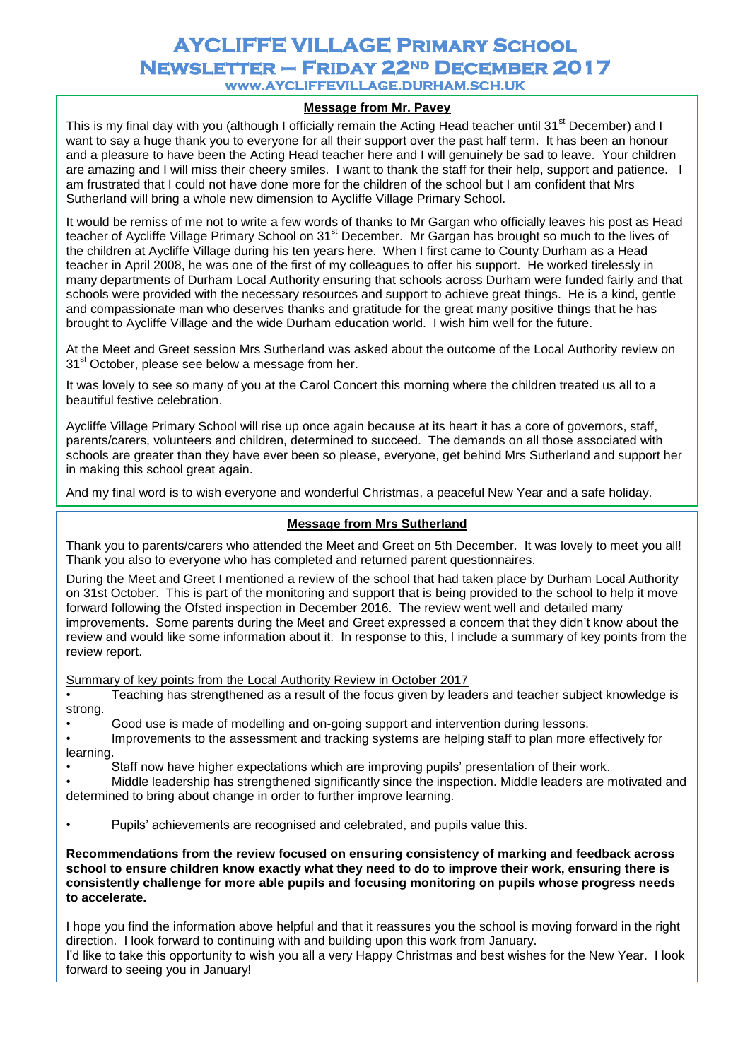# **AYCLIFFE VILLAGE Primary School Newsletter – Friday 22nd December 2017 www.AYCLIFFEVILLAGE.DURHAM.SCH.UK**

## **Message from Mr. Pavey**

This is my final day with you (although I officially remain the Acting Head teacher until 31 $^{\rm st}$  December) and I want to say a huge thank you to everyone for all their support over the past half term. It has been an honour and a pleasure to have been the Acting Head teacher here and I will genuinely be sad to leave. Your children are amazing and I will miss their cheery smiles. I want to thank the staff for their help, support and patience. I am frustrated that I could not have done more for the children of the school but I am confident that Mrs Sutherland will bring a whole new dimension to Aycliffe Village Primary School.

It would be remiss of me not to write a few words of thanks to Mr Gargan who officially leaves his post as Head teacher of Aycliffe Village Primary School on 31<sup>st</sup> December. Mr Gargan has brought so much to the lives of the children at Aycliffe Village during his ten years here. When I first came to County Durham as a Head teacher in April 2008, he was one of the first of my colleagues to offer his support. He worked tirelessly in many departments of Durham Local Authority ensuring that schools across Durham were funded fairly and that schools were provided with the necessary resources and support to achieve great things. He is a kind, gentle and compassionate man who deserves thanks and gratitude for the great many positive things that he has brought to Aycliffe Village and the wide Durham education world. I wish him well for the future.

At the Meet and Greet session Mrs Sutherland was asked about the outcome of the Local Authority review on 31<sup>st</sup> October, please see below a message from her.

It was lovely to see so many of you at the Carol Concert this morning where the children treated us all to a beautiful festive celebration.

Aycliffe Village Primary School will rise up once again because at its heart it has a core of governors, staff, parents/carers, volunteers and children, determined to succeed. The demands on all those associated with schools are greater than they have ever been so please, everyone, get behind Mrs Sutherland and support her in making this school great again.

And my final word is to wish everyone and wonderful Christmas, a peaceful New Year and a safe holiday.

### **Message from Mrs Sutherland**

Thank you to parents/carers who attended the Meet and Greet on 5th December. It was lovely to meet you all! Thank you also to everyone who has completed and returned parent questionnaires.

During the Meet and Greet I mentioned a review of the school that had taken place by Durham Local Authority on 31st October. This is part of the monitoring and support that is being provided to the school to help it move forward following the Ofsted inspection in December 2016. The review went well and detailed many improvements. Some parents during the Meet and Greet expressed a concern that they didn't know about the review and would like some information about it. In response to this, I include a summary of key points from the review report.

Summary of key points from the Local Authority Review in October 2017

• Teaching has strengthened as a result of the focus given by leaders and teacher subject knowledge is strong.

• Good use is made of modelling and on-going support and intervention during lessons.

- Improvements to the assessment and tracking systems are helping staff to plan more effectively for learning.
- Staff now have higher expectations which are improving pupils' presentation of their work.
- Middle leadership has strengthened significantly since the inspection. Middle leaders are motivated and determined to bring about change in order to further improve learning.
- Pupils' achievements are recognised and celebrated, and pupils value this.

**Recommendations from the review focused on ensuring consistency of marking and feedback across school to ensure children know exactly what they need to do to improve their work, ensuring there is consistently challenge for more able pupils and focusing monitoring on pupils whose progress needs to accelerate.**

I hope you find the information above helpful and that it reassures you the school is moving forward in the right direction. I look forward to continuing with and building upon this work from January.

I'd like to take this opportunity to wish you all a very Happy Christmas and best wishes for the New Year. I look forward to seeing you in January!